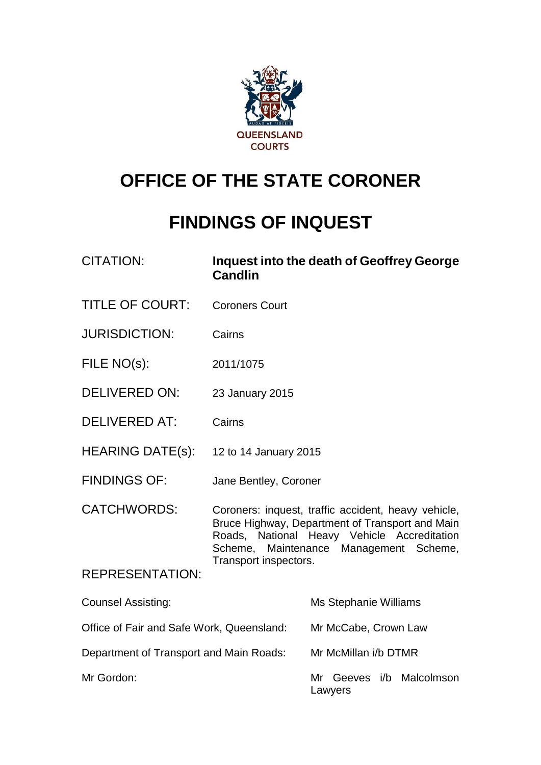

# **OFFICE OF THE STATE CORONER**

# **FINDINGS OF INQUEST**

| <b>CITATION:</b>                          | <b>Candlin</b>                                                                                                                                                                                                           | Inquest into the death of Geoffrey George |  |  |  |
|-------------------------------------------|--------------------------------------------------------------------------------------------------------------------------------------------------------------------------------------------------------------------------|-------------------------------------------|--|--|--|
| <b>TITLE OF COURT:</b>                    | <b>Coroners Court</b>                                                                                                                                                                                                    |                                           |  |  |  |
| <b>JURISDICTION:</b>                      | Cairns                                                                                                                                                                                                                   |                                           |  |  |  |
| FILE NO(s):                               | 2011/1075                                                                                                                                                                                                                |                                           |  |  |  |
| <b>DELIVERED ON:</b>                      | 23 January 2015                                                                                                                                                                                                          |                                           |  |  |  |
| <b>DELIVERED AT:</b>                      | Cairns                                                                                                                                                                                                                   |                                           |  |  |  |
| <b>HEARING DATE(s):</b>                   | 12 to 14 January 2015                                                                                                                                                                                                    |                                           |  |  |  |
| <b>FINDINGS OF:</b>                       | Jane Bentley, Coroner                                                                                                                                                                                                    |                                           |  |  |  |
| <b>CATCHWORDS:</b>                        | Coroners: inquest, traffic accident, heavy vehicle,<br>Bruce Highway, Department of Transport and Main<br>Roads, National Heavy Vehicle Accreditation<br>Scheme, Maintenance Management Scheme,<br>Transport inspectors. |                                           |  |  |  |
| <b>REPRESENTATION:</b>                    |                                                                                                                                                                                                                          |                                           |  |  |  |
| <b>Counsel Assisting:</b>                 |                                                                                                                                                                                                                          | Ms Stephanie Williams                     |  |  |  |
| Office of Fair and Safe Work, Queensland: |                                                                                                                                                                                                                          | Mr McCabe, Crown Law                      |  |  |  |
| Department of Transport and Main Roads:   |                                                                                                                                                                                                                          | Mr McMillan i/b DTMR                      |  |  |  |
| Mr Gordon:                                |                                                                                                                                                                                                                          | Mr<br>Geeves i/b<br>Malcolmson            |  |  |  |

Lawyers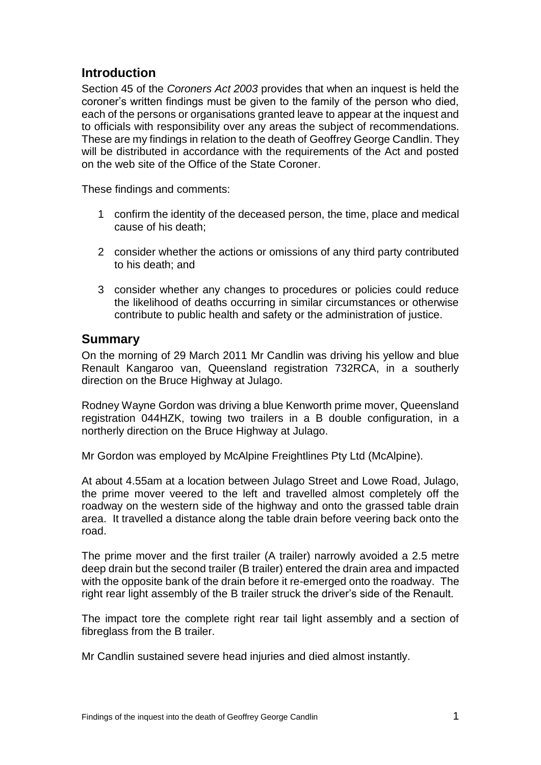# **Introduction**

Section 45 of the *Coroners Act 2003* provides that when an inquest is held the coroner's written findings must be given to the family of the person who died, each of the persons or organisations granted leave to appear at the inquest and to officials with responsibility over any areas the subject of recommendations. These are my findings in relation to the death of Geoffrey George Candlin. They will be distributed in accordance with the requirements of the Act and posted on the web site of the Office of the State Coroner.

These findings and comments:

- 1 confirm the identity of the deceased person, the time, place and medical cause of his death;
- 2 consider whether the actions or omissions of any third party contributed to his death; and
- 3 consider whether any changes to procedures or policies could reduce the likelihood of deaths occurring in similar circumstances or otherwise contribute to public health and safety or the administration of justice.

#### **Summary**

On the morning of 29 March 2011 Mr Candlin was driving his yellow and blue Renault Kangaroo van, Queensland registration 732RCA, in a southerly direction on the Bruce Highway at Julago.

Rodney Wayne Gordon was driving a blue Kenworth prime mover, Queensland registration 044HZK, towing two trailers in a B double configuration, in a northerly direction on the Bruce Highway at Julago.

Mr Gordon was employed by McAlpine Freightlines Pty Ltd (McAlpine).

At about 4.55am at a location between Julago Street and Lowe Road, Julago, the prime mover veered to the left and travelled almost completely off the roadway on the western side of the highway and onto the grassed table drain area. It travelled a distance along the table drain before veering back onto the road.

The prime mover and the first trailer (A trailer) narrowly avoided a 2.5 metre deep drain but the second trailer (B trailer) entered the drain area and impacted with the opposite bank of the drain before it re-emerged onto the roadway. The right rear light assembly of the B trailer struck the driver's side of the Renault.

The impact tore the complete right rear tail light assembly and a section of fibreglass from the B trailer.

Mr Candlin sustained severe head injuries and died almost instantly.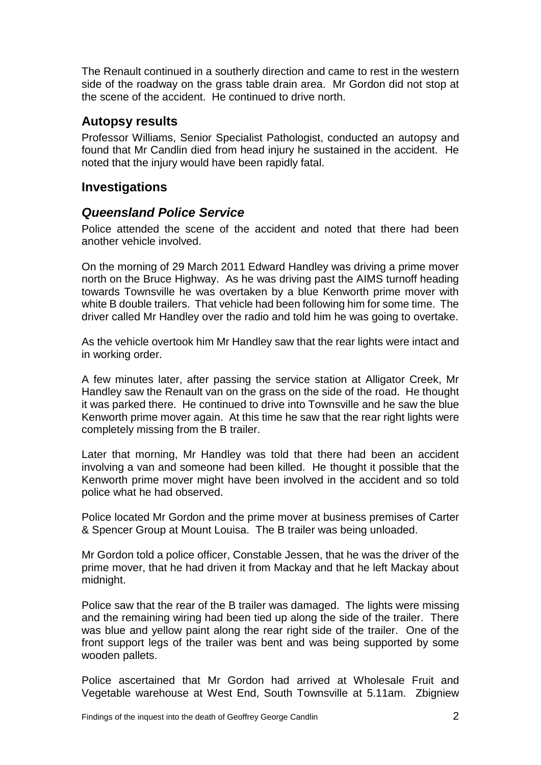The Renault continued in a southerly direction and came to rest in the western side of the roadway on the grass table drain area. Mr Gordon did not stop at the scene of the accident. He continued to drive north.

#### **Autopsy results**

Professor Williams, Senior Specialist Pathologist, conducted an autopsy and found that Mr Candlin died from head injury he sustained in the accident. He noted that the injury would have been rapidly fatal.

### **Investigations**

#### *Queensland Police Service*

Police attended the scene of the accident and noted that there had been another vehicle involved.

On the morning of 29 March 2011 Edward Handley was driving a prime mover north on the Bruce Highway. As he was driving past the AIMS turnoff heading towards Townsville he was overtaken by a blue Kenworth prime mover with white B double trailers. That vehicle had been following him for some time. The driver called Mr Handley over the radio and told him he was going to overtake.

As the vehicle overtook him Mr Handley saw that the rear lights were intact and in working order.

A few minutes later, after passing the service station at Alligator Creek, Mr Handley saw the Renault van on the grass on the side of the road. He thought it was parked there. He continued to drive into Townsville and he saw the blue Kenworth prime mover again. At this time he saw that the rear right lights were completely missing from the B trailer.

Later that morning, Mr Handley was told that there had been an accident involving a van and someone had been killed. He thought it possible that the Kenworth prime mover might have been involved in the accident and so told police what he had observed.

Police located Mr Gordon and the prime mover at business premises of Carter & Spencer Group at Mount Louisa. The B trailer was being unloaded.

Mr Gordon told a police officer, Constable Jessen, that he was the driver of the prime mover, that he had driven it from Mackay and that he left Mackay about midnight.

Police saw that the rear of the B trailer was damaged. The lights were missing and the remaining wiring had been tied up along the side of the trailer. There was blue and yellow paint along the rear right side of the trailer. One of the front support legs of the trailer was bent and was being supported by some wooden pallets.

Police ascertained that Mr Gordon had arrived at Wholesale Fruit and Vegetable warehouse at West End, South Townsville at 5.11am. Zbigniew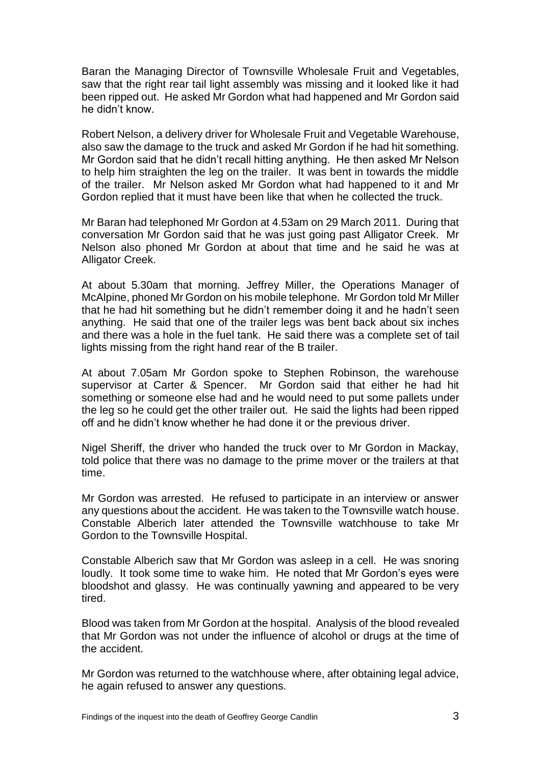Baran the Managing Director of Townsville Wholesale Fruit and Vegetables, saw that the right rear tail light assembly was missing and it looked like it had been ripped out. He asked Mr Gordon what had happened and Mr Gordon said he didn't know.

Robert Nelson, a delivery driver for Wholesale Fruit and Vegetable Warehouse, also saw the damage to the truck and asked Mr Gordon if he had hit something. Mr Gordon said that he didn't recall hitting anything. He then asked Mr Nelson to help him straighten the leg on the trailer. It was bent in towards the middle of the trailer. Mr Nelson asked Mr Gordon what had happened to it and Mr Gordon replied that it must have been like that when he collected the truck.

Mr Baran had telephoned Mr Gordon at 4.53am on 29 March 2011. During that conversation Mr Gordon said that he was just going past Alligator Creek. Mr Nelson also phoned Mr Gordon at about that time and he said he was at Alligator Creek.

At about 5.30am that morning. Jeffrey Miller, the Operations Manager of McAlpine, phoned Mr Gordon on his mobile telephone. Mr Gordon told Mr Miller that he had hit something but he didn't remember doing it and he hadn't seen anything. He said that one of the trailer legs was bent back about six inches and there was a hole in the fuel tank. He said there was a complete set of tail lights missing from the right hand rear of the B trailer.

At about 7.05am Mr Gordon spoke to Stephen Robinson, the warehouse supervisor at Carter & Spencer. Mr Gordon said that either he had hit something or someone else had and he would need to put some pallets under the leg so he could get the other trailer out. He said the lights had been ripped off and he didn't know whether he had done it or the previous driver.

Nigel Sheriff, the driver who handed the truck over to Mr Gordon in Mackay, told police that there was no damage to the prime mover or the trailers at that time.

Mr Gordon was arrested. He refused to participate in an interview or answer any questions about the accident. He was taken to the Townsville watch house. Constable Alberich later attended the Townsville watchhouse to take Mr Gordon to the Townsville Hospital.

Constable Alberich saw that Mr Gordon was asleep in a cell. He was snoring loudly. It took some time to wake him. He noted that Mr Gordon's eyes were bloodshot and glassy. He was continually yawning and appeared to be very tired.

Blood was taken from Mr Gordon at the hospital. Analysis of the blood revealed that Mr Gordon was not under the influence of alcohol or drugs at the time of the accident.

Mr Gordon was returned to the watchhouse where, after obtaining legal advice, he again refused to answer any questions.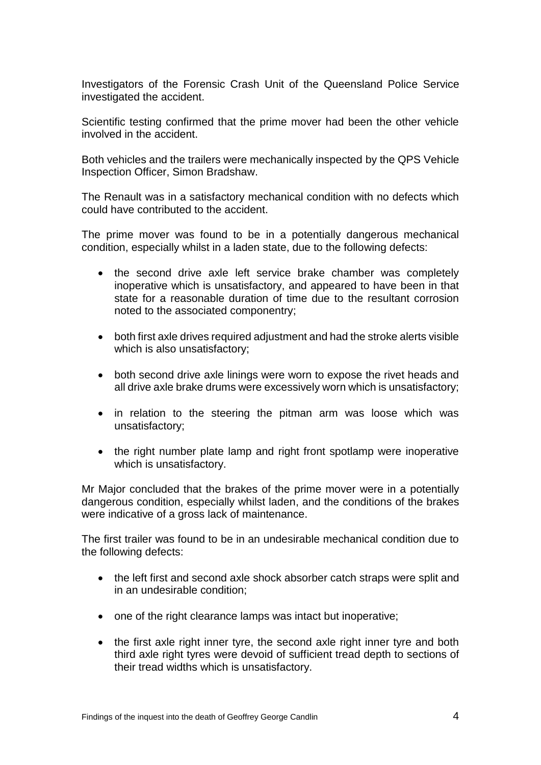Investigators of the Forensic Crash Unit of the Queensland Police Service investigated the accident.

Scientific testing confirmed that the prime mover had been the other vehicle involved in the accident.

Both vehicles and the trailers were mechanically inspected by the QPS Vehicle Inspection Officer, Simon Bradshaw.

The Renault was in a satisfactory mechanical condition with no defects which could have contributed to the accident.

The prime mover was found to be in a potentially dangerous mechanical condition, especially whilst in a laden state, due to the following defects:

- the second drive axle left service brake chamber was completely inoperative which is unsatisfactory, and appeared to have been in that state for a reasonable duration of time due to the resultant corrosion noted to the associated componentry;
- both first axle drives required adjustment and had the stroke alerts visible which is also unsatisfactory;
- both second drive axle linings were worn to expose the rivet heads and all drive axle brake drums were excessively worn which is unsatisfactory;
- in relation to the steering the pitman arm was loose which was unsatisfactory;
- the right number plate lamp and right front spotlamp were inoperative which is unsatisfactory.

Mr Major concluded that the brakes of the prime mover were in a potentially dangerous condition, especially whilst laden, and the conditions of the brakes were indicative of a gross lack of maintenance.

The first trailer was found to be in an undesirable mechanical condition due to the following defects:

- the left first and second axle shock absorber catch straps were split and in an undesirable condition;
- one of the right clearance lamps was intact but inoperative;
- the first axle right inner tyre, the second axle right inner tyre and both third axle right tyres were devoid of sufficient tread depth to sections of their tread widths which is unsatisfactory.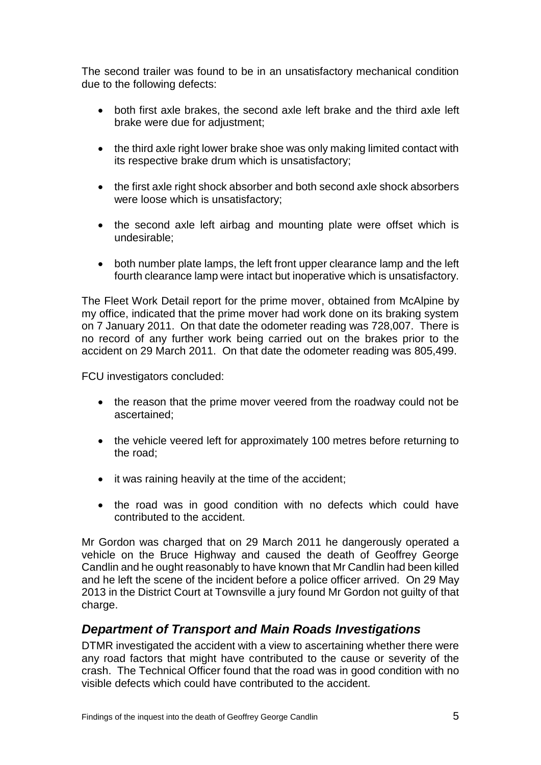The second trailer was found to be in an unsatisfactory mechanical condition due to the following defects:

- both first axle brakes, the second axle left brake and the third axle left brake were due for adjustment;
- the third axle right lower brake shoe was only making limited contact with its respective brake drum which is unsatisfactory;
- the first axle right shock absorber and both second axle shock absorbers were loose which is unsatisfactory;
- the second axle left airbag and mounting plate were offset which is undesirable;
- both number plate lamps, the left front upper clearance lamp and the left fourth clearance lamp were intact but inoperative which is unsatisfactory.

The Fleet Work Detail report for the prime mover, obtained from McAlpine by my office, indicated that the prime mover had work done on its braking system on 7 January 2011. On that date the odometer reading was 728,007. There is no record of any further work being carried out on the brakes prior to the accident on 29 March 2011. On that date the odometer reading was 805,499.

FCU investigators concluded:

- the reason that the prime mover veered from the roadway could not be ascertained;
- the vehicle veered left for approximately 100 metres before returning to the road;
- it was raining heavily at the time of the accident;
- the road was in good condition with no defects which could have contributed to the accident.

Mr Gordon was charged that on 29 March 2011 he dangerously operated a vehicle on the Bruce Highway and caused the death of Geoffrey George Candlin and he ought reasonably to have known that Mr Candlin had been killed and he left the scene of the incident before a police officer arrived. On 29 May 2013 in the District Court at Townsville a jury found Mr Gordon not guilty of that charge.

## *Department of Transport and Main Roads Investigations*

DTMR investigated the accident with a view to ascertaining whether there were any road factors that might have contributed to the cause or severity of the crash. The Technical Officer found that the road was in good condition with no visible defects which could have contributed to the accident.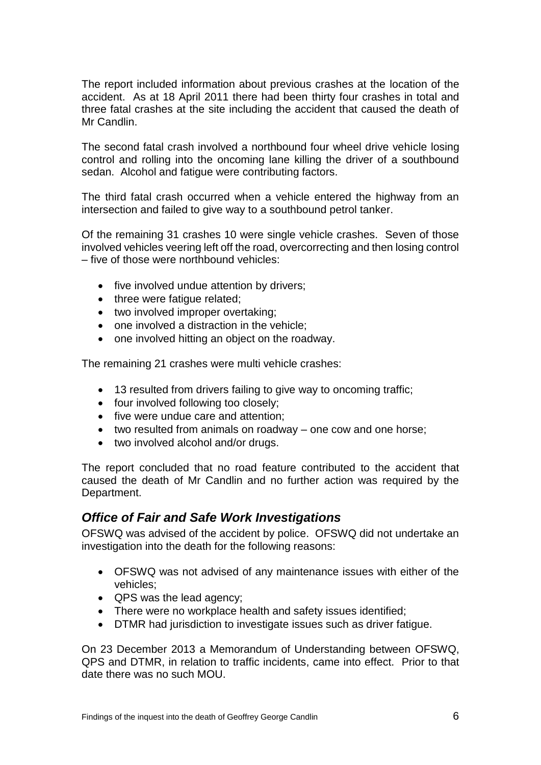The report included information about previous crashes at the location of the accident. As at 18 April 2011 there had been thirty four crashes in total and three fatal crashes at the site including the accident that caused the death of Mr Candlin.

The second fatal crash involved a northbound four wheel drive vehicle losing control and rolling into the oncoming lane killing the driver of a southbound sedan. Alcohol and fatigue were contributing factors.

The third fatal crash occurred when a vehicle entered the highway from an intersection and failed to give way to a southbound petrol tanker.

Of the remaining 31 crashes 10 were single vehicle crashes. Seven of those involved vehicles veering left off the road, overcorrecting and then losing control – five of those were northbound vehicles:

- five involved undue attention by drivers;
- three were fatigue related;
- two involved improper overtaking;
- $\bullet$  one involved a distraction in the vehicle;
- one involved hitting an object on the roadway.

The remaining 21 crashes were multi vehicle crashes:

- 13 resulted from drivers failing to give way to oncoming traffic;
- four involved following too closely;
- five were undue care and attention:
- two resulted from animals on roadway one cow and one horse;
- two involved alcohol and/or drugs.

The report concluded that no road feature contributed to the accident that caused the death of Mr Candlin and no further action was required by the Department.

#### *Office of Fair and Safe Work Investigations*

OFSWQ was advised of the accident by police. OFSWQ did not undertake an investigation into the death for the following reasons:

- OFSWQ was not advised of any maintenance issues with either of the vehicles;
- QPS was the lead agency;
- There were no workplace health and safety issues identified;
- DTMR had jurisdiction to investigate issues such as driver fatigue.

On 23 December 2013 a Memorandum of Understanding between OFSWQ, QPS and DTMR, in relation to traffic incidents, came into effect. Prior to that date there was no such MOU.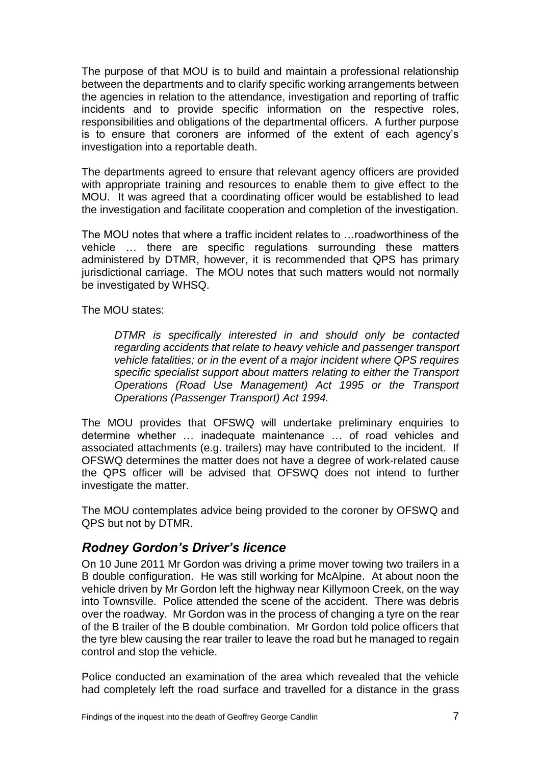The purpose of that MOU is to build and maintain a professional relationship between the departments and to clarify specific working arrangements between the agencies in relation to the attendance, investigation and reporting of traffic incidents and to provide specific information on the respective roles, responsibilities and obligations of the departmental officers. A further purpose is to ensure that coroners are informed of the extent of each agency's investigation into a reportable death.

The departments agreed to ensure that relevant agency officers are provided with appropriate training and resources to enable them to give effect to the MOU. It was agreed that a coordinating officer would be established to lead the investigation and facilitate cooperation and completion of the investigation.

The MOU notes that where a traffic incident relates to …roadworthiness of the vehicle … there are specific regulations surrounding these matters administered by DTMR, however, it is recommended that QPS has primary jurisdictional carriage. The MOU notes that such matters would not normally be investigated by WHSQ.

The MOU states:

*DTMR is specifically interested in and should only be contacted regarding accidents that relate to heavy vehicle and passenger transport vehicle fatalities; or in the event of a major incident where QPS requires specific specialist support about matters relating to either the Transport Operations (Road Use Management) Act 1995 or the Transport Operations (Passenger Transport) Act 1994.*

The MOU provides that OFSWQ will undertake preliminary enquiries to determine whether … inadequate maintenance … of road vehicles and associated attachments (e.g. trailers) may have contributed to the incident. If OFSWQ determines the matter does not have a degree of work-related cause the QPS officer will be advised that OFSWQ does not intend to further investigate the matter.

The MOU contemplates advice being provided to the coroner by OFSWQ and QPS but not by DTMR.

## *Rodney Gordon's Driver's licence*

On 10 June 2011 Mr Gordon was driving a prime mover towing two trailers in a B double configuration. He was still working for McAlpine. At about noon the vehicle driven by Mr Gordon left the highway near Killymoon Creek, on the way into Townsville. Police attended the scene of the accident. There was debris over the roadway. Mr Gordon was in the process of changing a tyre on the rear of the B trailer of the B double combination. Mr Gordon told police officers that the tyre blew causing the rear trailer to leave the road but he managed to regain control and stop the vehicle.

Police conducted an examination of the area which revealed that the vehicle had completely left the road surface and travelled for a distance in the grass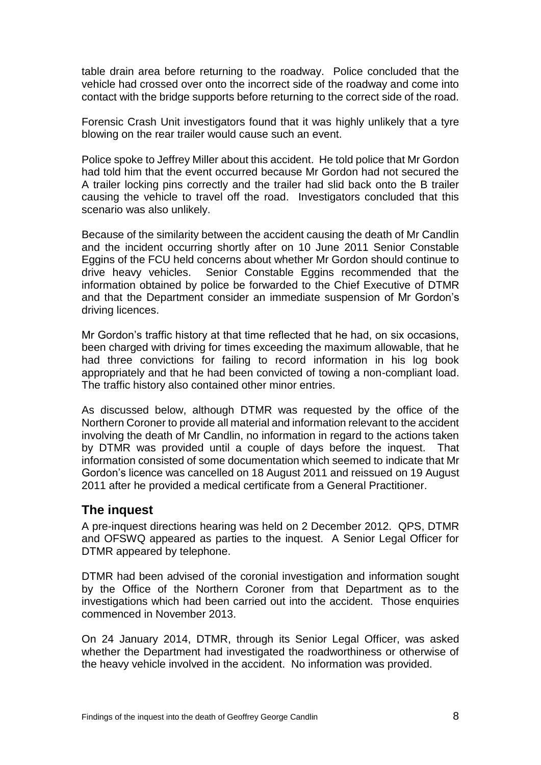table drain area before returning to the roadway. Police concluded that the vehicle had crossed over onto the incorrect side of the roadway and come into contact with the bridge supports before returning to the correct side of the road.

Forensic Crash Unit investigators found that it was highly unlikely that a tyre blowing on the rear trailer would cause such an event.

Police spoke to Jeffrey Miller about this accident. He told police that Mr Gordon had told him that the event occurred because Mr Gordon had not secured the A trailer locking pins correctly and the trailer had slid back onto the B trailer causing the vehicle to travel off the road. Investigators concluded that this scenario was also unlikely.

Because of the similarity between the accident causing the death of Mr Candlin and the incident occurring shortly after on 10 June 2011 Senior Constable Eggins of the FCU held concerns about whether Mr Gordon should continue to drive heavy vehicles. Senior Constable Eggins recommended that the information obtained by police be forwarded to the Chief Executive of DTMR and that the Department consider an immediate suspension of Mr Gordon's driving licences.

Mr Gordon's traffic history at that time reflected that he had, on six occasions, been charged with driving for times exceeding the maximum allowable, that he had three convictions for failing to record information in his log book appropriately and that he had been convicted of towing a non-compliant load. The traffic history also contained other minor entries.

As discussed below, although DTMR was requested by the office of the Northern Coroner to provide all material and information relevant to the accident involving the death of Mr Candlin, no information in regard to the actions taken by DTMR was provided until a couple of days before the inquest. That information consisted of some documentation which seemed to indicate that Mr Gordon's licence was cancelled on 18 August 2011 and reissued on 19 August 2011 after he provided a medical certificate from a General Practitioner.

#### **The inquest**

A pre-inquest directions hearing was held on 2 December 2012. QPS, DTMR and OFSWQ appeared as parties to the inquest. A Senior Legal Officer for DTMR appeared by telephone.

DTMR had been advised of the coronial investigation and information sought by the Office of the Northern Coroner from that Department as to the investigations which had been carried out into the accident. Those enquiries commenced in November 2013.

On 24 January 2014, DTMR, through its Senior Legal Officer, was asked whether the Department had investigated the roadworthiness or otherwise of the heavy vehicle involved in the accident. No information was provided.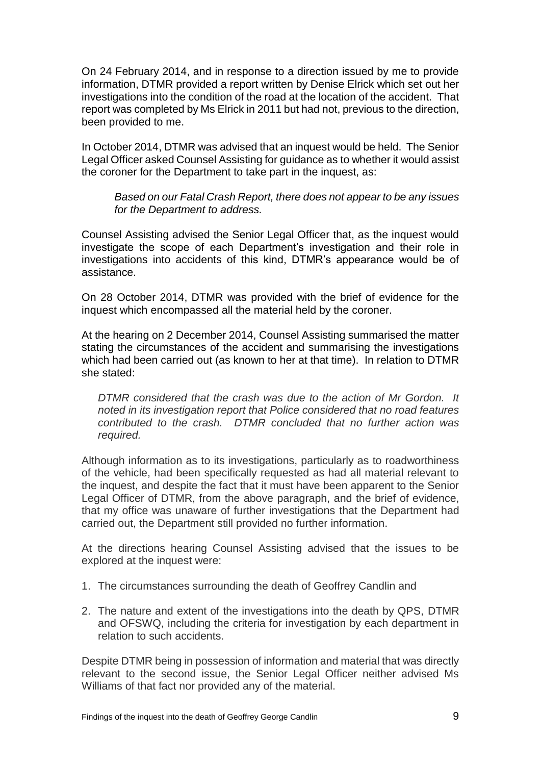On 24 February 2014, and in response to a direction issued by me to provide information, DTMR provided a report written by Denise Elrick which set out her investigations into the condition of the road at the location of the accident. That report was completed by Ms Elrick in 2011 but had not, previous to the direction, been provided to me.

In October 2014, DTMR was advised that an inquest would be held. The Senior Legal Officer asked Counsel Assisting for guidance as to whether it would assist the coroner for the Department to take part in the inquest, as:

*Based on our Fatal Crash Report, there does not appear to be any issues for the Department to address.*

Counsel Assisting advised the Senior Legal Officer that, as the inquest would investigate the scope of each Department's investigation and their role in investigations into accidents of this kind, DTMR's appearance would be of assistance.

On 28 October 2014, DTMR was provided with the brief of evidence for the inquest which encompassed all the material held by the coroner.

At the hearing on 2 December 2014, Counsel Assisting summarised the matter stating the circumstances of the accident and summarising the investigations which had been carried out (as known to her at that time). In relation to DTMR she stated:

*DTMR considered that the crash was due to the action of Mr Gordon. It noted in its investigation report that Police considered that no road features contributed to the crash. DTMR concluded that no further action was required.* 

Although information as to its investigations, particularly as to roadworthiness of the vehicle, had been specifically requested as had all material relevant to the inquest, and despite the fact that it must have been apparent to the Senior Legal Officer of DTMR, from the above paragraph, and the brief of evidence, that my office was unaware of further investigations that the Department had carried out, the Department still provided no further information.

At the directions hearing Counsel Assisting advised that the issues to be explored at the inquest were:

- 1. The circumstances surrounding the death of Geoffrey Candlin and
- 2. The nature and extent of the investigations into the death by QPS, DTMR and OFSWQ, including the criteria for investigation by each department in relation to such accidents.

Despite DTMR being in possession of information and material that was directly relevant to the second issue, the Senior Legal Officer neither advised Ms Williams of that fact nor provided any of the material.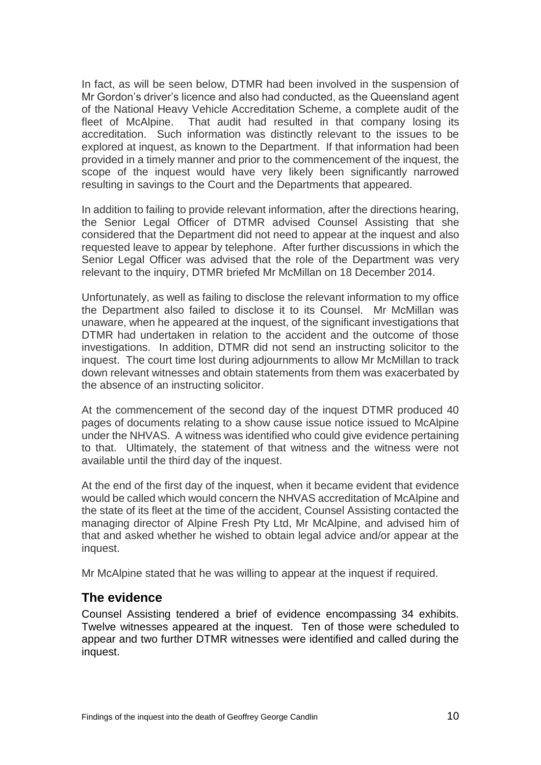In fact, as will be seen below, DTMR had been involved in the suspension of Mr Gordon's driver's licence and also had conducted, as the Queensland agent of the National Heavy Vehicle Accreditation Scheme, a complete audit of the fleet of McAlpine. That audit had resulted in that company losing its accreditation. Such information was distinctly relevant to the issues to be explored at inquest, as known to the Department. If that information had been provided in a timely manner and prior to the commencement of the inquest, the scope of the inquest would have very likely been significantly narrowed resulting in savings to the Court and the Departments that appeared.

In addition to failing to provide relevant information, after the directions hearing, the Senior Legal Officer of DTMR advised Counsel Assisting that she considered that the Department did not need to appear at the inquest and also requested leave to appear by telephone. After further discussions in which the Senior Legal Officer was advised that the role of the Department was very relevant to the inquiry, DTMR briefed Mr McMillan on 18 December 2014.

Unfortunately, as well as failing to disclose the relevant information to my office the Department also failed to disclose it to its Counsel. Mr McMillan was unaware, when he appeared at the inquest, of the significant investigations that DTMR had undertaken in relation to the accident and the outcome of those investigations. In addition, DTMR did not send an instructing solicitor to the inquest. The court time lost during adjournments to allow Mr McMillan to track down relevant witnesses and obtain statements from them was exacerbated by the absence of an instructing solicitor.

At the commencement of the second day of the inquest DTMR produced 40 pages of documents relating to a show cause issue notice issued to McAlpine under the NHVAS. A witness was identified who could give evidence pertaining to that. Ultimately, the statement of that witness and the witness were not available until the third day of the inquest.

At the end of the first day of the inquest, when it became evident that evidence would be called which would concern the NHVAS accreditation of McAlpine and the state of its fleet at the time of the accident, Counsel Assisting contacted the managing director of Alpine Fresh Pty Ltd, Mr McAlpine, and advised him of that and asked whether he wished to obtain legal advice and/or appear at the inquest.

Mr McAlpine stated that he was willing to appear at the inquest if required.

#### **The evidence**

Counsel Assisting tendered a brief of evidence encompassing 34 exhibits. Twelve witnesses appeared at the inquest. Ten of those were scheduled to appear and two further DTMR witnesses were identified and called during the inquest.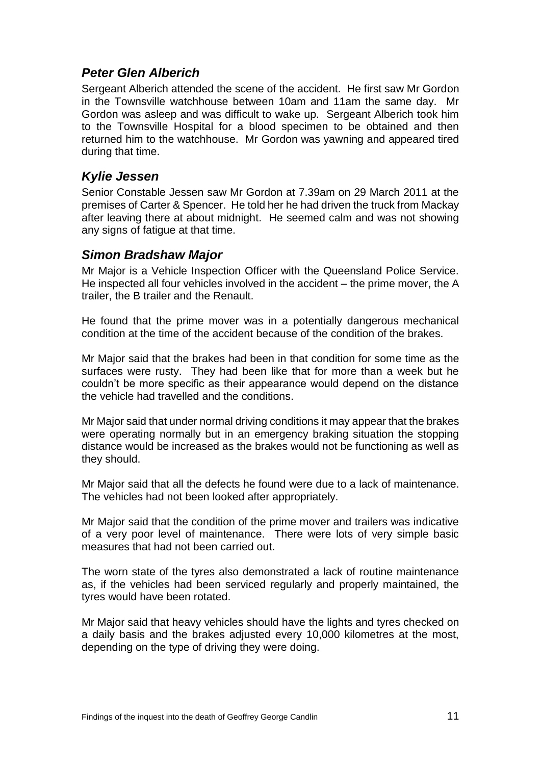## *Peter Glen Alberich*

Sergeant Alberich attended the scene of the accident. He first saw Mr Gordon in the Townsville watchhouse between 10am and 11am the same day. Mr Gordon was asleep and was difficult to wake up. Sergeant Alberich took him to the Townsville Hospital for a blood specimen to be obtained and then returned him to the watchhouse. Mr Gordon was yawning and appeared tired during that time.

## *Kylie Jessen*

Senior Constable Jessen saw Mr Gordon at 7.39am on 29 March 2011 at the premises of Carter & Spencer. He told her he had driven the truck from Mackay after leaving there at about midnight. He seemed calm and was not showing any signs of fatigue at that time.

## *Simon Bradshaw Major*

Mr Major is a Vehicle Inspection Officer with the Queensland Police Service. He inspected all four vehicles involved in the accident – the prime mover, the A trailer, the B trailer and the Renault.

He found that the prime mover was in a potentially dangerous mechanical condition at the time of the accident because of the condition of the brakes.

Mr Major said that the brakes had been in that condition for some time as the surfaces were rusty. They had been like that for more than a week but he couldn't be more specific as their appearance would depend on the distance the vehicle had travelled and the conditions.

Mr Major said that under normal driving conditions it may appear that the brakes were operating normally but in an emergency braking situation the stopping distance would be increased as the brakes would not be functioning as well as they should.

Mr Major said that all the defects he found were due to a lack of maintenance. The vehicles had not been looked after appropriately.

Mr Major said that the condition of the prime mover and trailers was indicative of a very poor level of maintenance. There were lots of very simple basic measures that had not been carried out.

The worn state of the tyres also demonstrated a lack of routine maintenance as, if the vehicles had been serviced regularly and properly maintained, the tyres would have been rotated.

Mr Major said that heavy vehicles should have the lights and tyres checked on a daily basis and the brakes adjusted every 10,000 kilometres at the most, depending on the type of driving they were doing.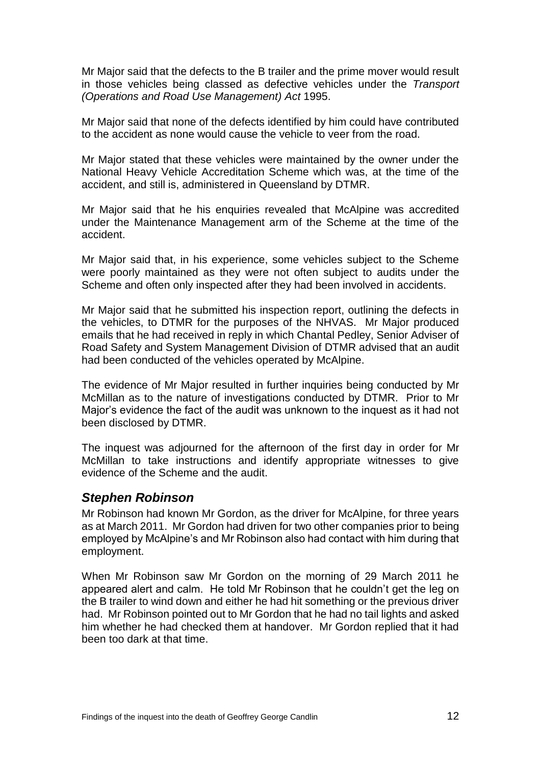Mr Major said that the defects to the B trailer and the prime mover would result in those vehicles being classed as defective vehicles under the *Transport (Operations and Road Use Management) Act* 1995.

Mr Major said that none of the defects identified by him could have contributed to the accident as none would cause the vehicle to veer from the road.

Mr Major stated that these vehicles were maintained by the owner under the National Heavy Vehicle Accreditation Scheme which was, at the time of the accident, and still is, administered in Queensland by DTMR.

Mr Major said that he his enquiries revealed that McAlpine was accredited under the Maintenance Management arm of the Scheme at the time of the accident.

Mr Major said that, in his experience, some vehicles subject to the Scheme were poorly maintained as they were not often subject to audits under the Scheme and often only inspected after they had been involved in accidents.

Mr Major said that he submitted his inspection report, outlining the defects in the vehicles, to DTMR for the purposes of the NHVAS. Mr Major produced emails that he had received in reply in which Chantal Pedley, Senior Adviser of Road Safety and System Management Division of DTMR advised that an audit had been conducted of the vehicles operated by McAlpine.

The evidence of Mr Major resulted in further inquiries being conducted by Mr McMillan as to the nature of investigations conducted by DTMR. Prior to Mr Major's evidence the fact of the audit was unknown to the inquest as it had not been disclosed by DTMR.

The inquest was adjourned for the afternoon of the first day in order for Mr McMillan to take instructions and identify appropriate witnesses to give evidence of the Scheme and the audit.

#### *Stephen Robinson*

Mr Robinson had known Mr Gordon, as the driver for McAlpine, for three years as at March 2011. Mr Gordon had driven for two other companies prior to being employed by McAlpine's and Mr Robinson also had contact with him during that employment.

When Mr Robinson saw Mr Gordon on the morning of 29 March 2011 he appeared alert and calm. He told Mr Robinson that he couldn't get the leg on the B trailer to wind down and either he had hit something or the previous driver had. Mr Robinson pointed out to Mr Gordon that he had no tail lights and asked him whether he had checked them at handover. Mr Gordon replied that it had been too dark at that time.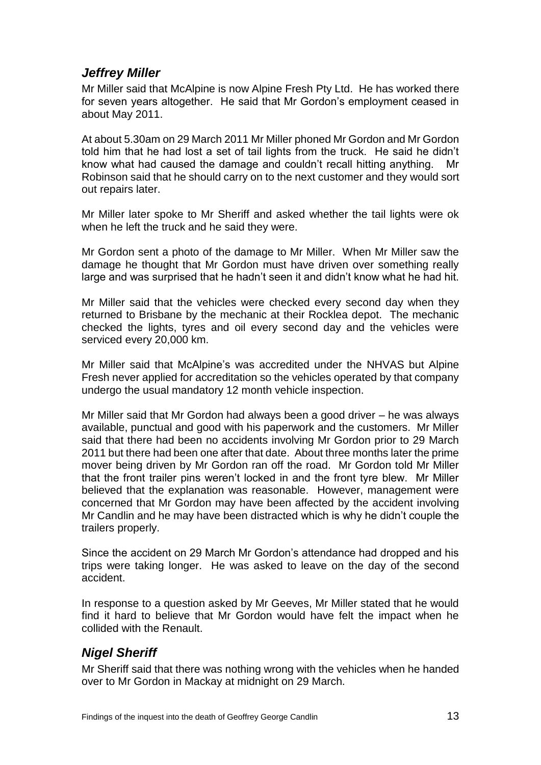# *Jeffrey Miller*

Mr Miller said that McAlpine is now Alpine Fresh Pty Ltd. He has worked there for seven years altogether. He said that Mr Gordon's employment ceased in about May 2011.

At about 5.30am on 29 March 2011 Mr Miller phoned Mr Gordon and Mr Gordon told him that he had lost a set of tail lights from the truck. He said he didn't know what had caused the damage and couldn't recall hitting anything. Mr Robinson said that he should carry on to the next customer and they would sort out repairs later.

Mr Miller later spoke to Mr Sheriff and asked whether the tail lights were ok when he left the truck and he said they were.

Mr Gordon sent a photo of the damage to Mr Miller. When Mr Miller saw the damage he thought that Mr Gordon must have driven over something really large and was surprised that he hadn't seen it and didn't know what he had hit.

Mr Miller said that the vehicles were checked every second day when they returned to Brisbane by the mechanic at their Rocklea depot. The mechanic checked the lights, tyres and oil every second day and the vehicles were serviced every 20,000 km.

Mr Miller said that McAlpine's was accredited under the NHVAS but Alpine Fresh never applied for accreditation so the vehicles operated by that company undergo the usual mandatory 12 month vehicle inspection.

Mr Miller said that Mr Gordon had always been a good driver – he was always available, punctual and good with his paperwork and the customers. Mr Miller said that there had been no accidents involving Mr Gordon prior to 29 March 2011 but there had been one after that date. About three months later the prime mover being driven by Mr Gordon ran off the road. Mr Gordon told Mr Miller that the front trailer pins weren't locked in and the front tyre blew. Mr Miller believed that the explanation was reasonable. However, management were concerned that Mr Gordon may have been affected by the accident involving Mr Candlin and he may have been distracted which is why he didn't couple the trailers properly.

Since the accident on 29 March Mr Gordon's attendance had dropped and his trips were taking longer. He was asked to leave on the day of the second accident.

In response to a question asked by Mr Geeves, Mr Miller stated that he would find it hard to believe that Mr Gordon would have felt the impact when he collided with the Renault.

## *Nigel Sheriff*

Mr Sheriff said that there was nothing wrong with the vehicles when he handed over to Mr Gordon in Mackay at midnight on 29 March.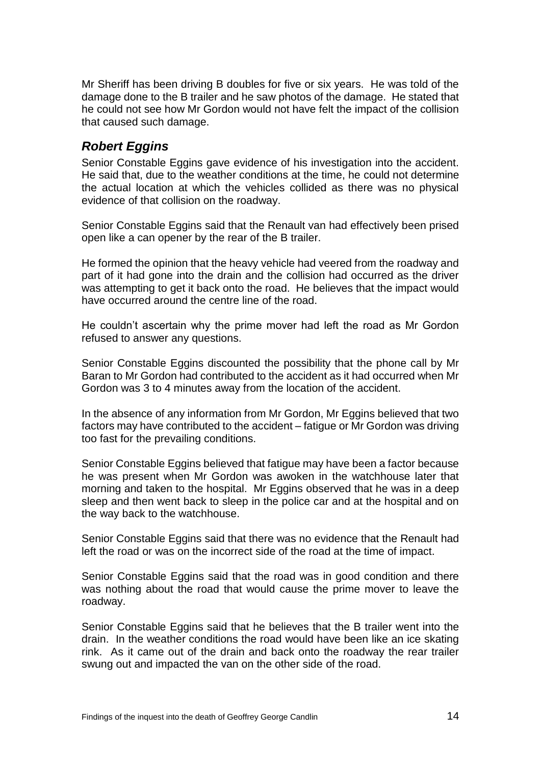Mr Sheriff has been driving B doubles for five or six years. He was told of the damage done to the B trailer and he saw photos of the damage. He stated that he could not see how Mr Gordon would not have felt the impact of the collision that caused such damage.

## *Robert Eggins*

Senior Constable Eggins gave evidence of his investigation into the accident. He said that, due to the weather conditions at the time, he could not determine the actual location at which the vehicles collided as there was no physical evidence of that collision on the roadway.

Senior Constable Eggins said that the Renault van had effectively been prised open like a can opener by the rear of the B trailer.

He formed the opinion that the heavy vehicle had veered from the roadway and part of it had gone into the drain and the collision had occurred as the driver was attempting to get it back onto the road. He believes that the impact would have occurred around the centre line of the road.

He couldn't ascertain why the prime mover had left the road as Mr Gordon refused to answer any questions.

Senior Constable Eggins discounted the possibility that the phone call by Mr Baran to Mr Gordon had contributed to the accident as it had occurred when Mr Gordon was 3 to 4 minutes away from the location of the accident.

In the absence of any information from Mr Gordon, Mr Eggins believed that two factors may have contributed to the accident – fatigue or Mr Gordon was driving too fast for the prevailing conditions.

Senior Constable Eggins believed that fatigue may have been a factor because he was present when Mr Gordon was awoken in the watchhouse later that morning and taken to the hospital. Mr Eggins observed that he was in a deep sleep and then went back to sleep in the police car and at the hospital and on the way back to the watchhouse.

Senior Constable Eggins said that there was no evidence that the Renault had left the road or was on the incorrect side of the road at the time of impact.

Senior Constable Eggins said that the road was in good condition and there was nothing about the road that would cause the prime mover to leave the roadway.

Senior Constable Eggins said that he believes that the B trailer went into the drain. In the weather conditions the road would have been like an ice skating rink. As it came out of the drain and back onto the roadway the rear trailer swung out and impacted the van on the other side of the road.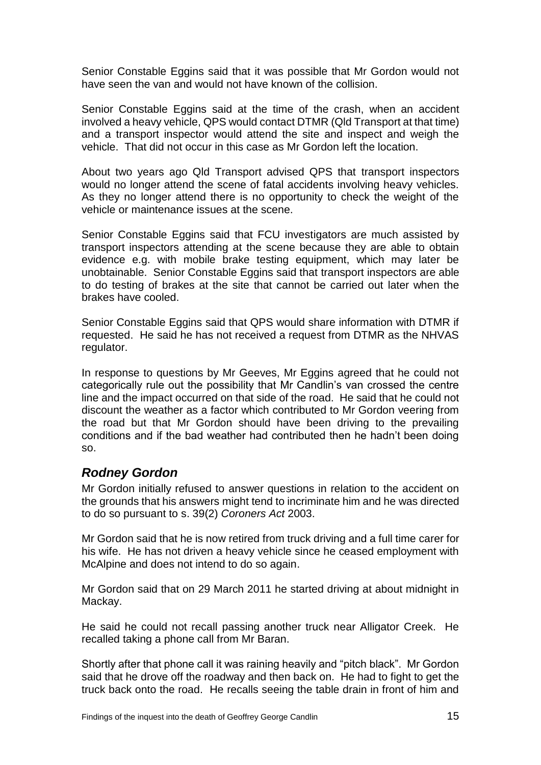Senior Constable Eggins said that it was possible that Mr Gordon would not have seen the van and would not have known of the collision.

Senior Constable Eggins said at the time of the crash, when an accident involved a heavy vehicle, QPS would contact DTMR (Qld Transport at that time) and a transport inspector would attend the site and inspect and weigh the vehicle. That did not occur in this case as Mr Gordon left the location.

About two years ago Qld Transport advised QPS that transport inspectors would no longer attend the scene of fatal accidents involving heavy vehicles. As they no longer attend there is no opportunity to check the weight of the vehicle or maintenance issues at the scene.

Senior Constable Eggins said that FCU investigators are much assisted by transport inspectors attending at the scene because they are able to obtain evidence e.g. with mobile brake testing equipment, which may later be unobtainable. Senior Constable Eggins said that transport inspectors are able to do testing of brakes at the site that cannot be carried out later when the brakes have cooled.

Senior Constable Eggins said that QPS would share information with DTMR if requested. He said he has not received a request from DTMR as the NHVAS regulator.

In response to questions by Mr Geeves, Mr Eggins agreed that he could not categorically rule out the possibility that Mr Candlin's van crossed the centre line and the impact occurred on that side of the road. He said that he could not discount the weather as a factor which contributed to Mr Gordon veering from the road but that Mr Gordon should have been driving to the prevailing conditions and if the bad weather had contributed then he hadn't been doing so.

# *Rodney Gordon*

Mr Gordon initially refused to answer questions in relation to the accident on the grounds that his answers might tend to incriminate him and he was directed to do so pursuant to s. 39(2) *Coroners Act* 2003.

Mr Gordon said that he is now retired from truck driving and a full time carer for his wife. He has not driven a heavy vehicle since he ceased employment with McAlpine and does not intend to do so again.

Mr Gordon said that on 29 March 2011 he started driving at about midnight in Mackay.

He said he could not recall passing another truck near Alligator Creek. He recalled taking a phone call from Mr Baran.

Shortly after that phone call it was raining heavily and "pitch black". Mr Gordon said that he drove off the roadway and then back on. He had to fight to get the truck back onto the road. He recalls seeing the table drain in front of him and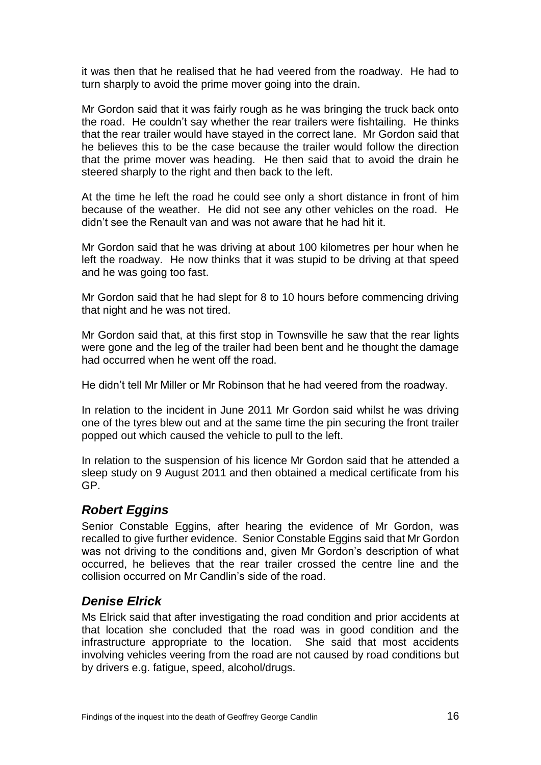it was then that he realised that he had veered from the roadway. He had to turn sharply to avoid the prime mover going into the drain.

Mr Gordon said that it was fairly rough as he was bringing the truck back onto the road. He couldn't say whether the rear trailers were fishtailing. He thinks that the rear trailer would have stayed in the correct lane. Mr Gordon said that he believes this to be the case because the trailer would follow the direction that the prime mover was heading. He then said that to avoid the drain he steered sharply to the right and then back to the left.

At the time he left the road he could see only a short distance in front of him because of the weather. He did not see any other vehicles on the road. He didn't see the Renault van and was not aware that he had hit it.

Mr Gordon said that he was driving at about 100 kilometres per hour when he left the roadway. He now thinks that it was stupid to be driving at that speed and he was going too fast.

Mr Gordon said that he had slept for 8 to 10 hours before commencing driving that night and he was not tired.

Mr Gordon said that, at this first stop in Townsville he saw that the rear lights were gone and the leg of the trailer had been bent and he thought the damage had occurred when he went off the road.

He didn't tell Mr Miller or Mr Robinson that he had veered from the roadway.

In relation to the incident in June 2011 Mr Gordon said whilst he was driving one of the tyres blew out and at the same time the pin securing the front trailer popped out which caused the vehicle to pull to the left.

In relation to the suspension of his licence Mr Gordon said that he attended a sleep study on 9 August 2011 and then obtained a medical certificate from his GP.

## *Robert Eggins*

Senior Constable Eggins, after hearing the evidence of Mr Gordon, was recalled to give further evidence. Senior Constable Eggins said that Mr Gordon was not driving to the conditions and, given Mr Gordon's description of what occurred, he believes that the rear trailer crossed the centre line and the collision occurred on Mr Candlin's side of the road.

## *Denise Elrick*

Ms Elrick said that after investigating the road condition and prior accidents at that location she concluded that the road was in good condition and the infrastructure appropriate to the location. She said that most accidents involving vehicles veering from the road are not caused by road conditions but by drivers e.g. fatigue, speed, alcohol/drugs.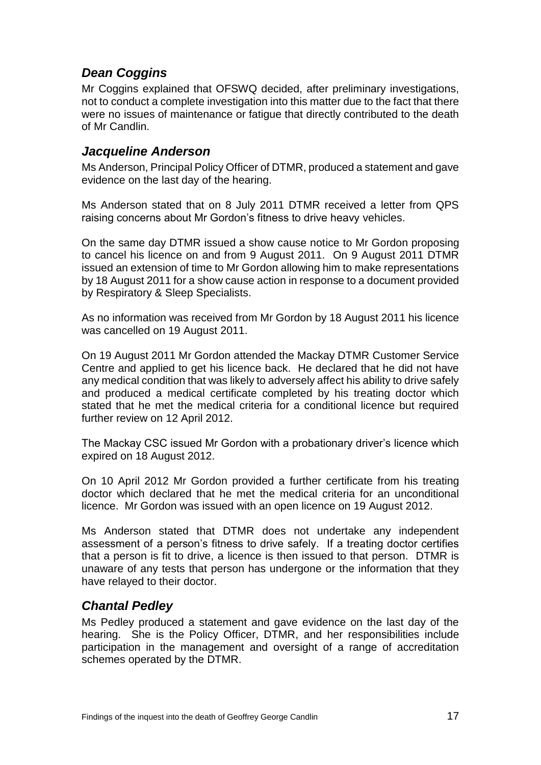# *Dean Coggins*

Mr Coggins explained that OFSWQ decided, after preliminary investigations, not to conduct a complete investigation into this matter due to the fact that there were no issues of maintenance or fatigue that directly contributed to the death of Mr Candlin.

#### *Jacqueline Anderson*

Ms Anderson, Principal Policy Officer of DTMR, produced a statement and gave evidence on the last day of the hearing.

Ms Anderson stated that on 8 July 2011 DTMR received a letter from QPS raising concerns about Mr Gordon's fitness to drive heavy vehicles.

On the same day DTMR issued a show cause notice to Mr Gordon proposing to cancel his licence on and from 9 August 2011. On 9 August 2011 DTMR issued an extension of time to Mr Gordon allowing him to make representations by 18 August 2011 for a show cause action in response to a document provided by Respiratory & Sleep Specialists.

As no information was received from Mr Gordon by 18 August 2011 his licence was cancelled on 19 August 2011.

On 19 August 2011 Mr Gordon attended the Mackay DTMR Customer Service Centre and applied to get his licence back. He declared that he did not have any medical condition that was likely to adversely affect his ability to drive safely and produced a medical certificate completed by his treating doctor which stated that he met the medical criteria for a conditional licence but required further review on 12 April 2012.

The Mackay CSC issued Mr Gordon with a probationary driver's licence which expired on 18 August 2012.

On 10 April 2012 Mr Gordon provided a further certificate from his treating doctor which declared that he met the medical criteria for an unconditional licence. Mr Gordon was issued with an open licence on 19 August 2012.

Ms Anderson stated that DTMR does not undertake any independent assessment of a person's fitness to drive safely. If a treating doctor certifies that a person is fit to drive, a licence is then issued to that person. DTMR is unaware of any tests that person has undergone or the information that they have relayed to their doctor.

## *Chantal Pedley*

Ms Pedley produced a statement and gave evidence on the last day of the hearing. She is the Policy Officer, DTMR, and her responsibilities include participation in the management and oversight of a range of accreditation schemes operated by the DTMR.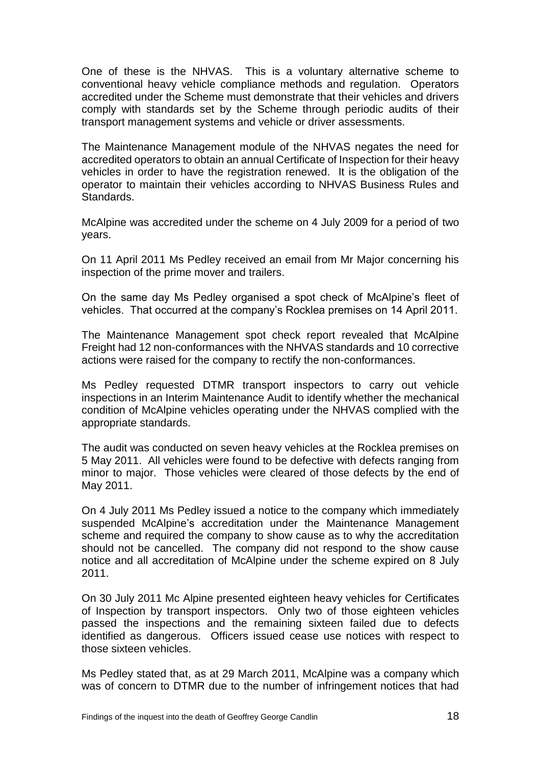One of these is the NHVAS. This is a voluntary alternative scheme to conventional heavy vehicle compliance methods and regulation. Operators accredited under the Scheme must demonstrate that their vehicles and drivers comply with standards set by the Scheme through periodic audits of their transport management systems and vehicle or driver assessments.

The Maintenance Management module of the NHVAS negates the need for accredited operators to obtain an annual Certificate of Inspection for their heavy vehicles in order to have the registration renewed. It is the obligation of the operator to maintain their vehicles according to NHVAS Business Rules and Standards.

McAlpine was accredited under the scheme on 4 July 2009 for a period of two years.

On 11 April 2011 Ms Pedley received an email from Mr Major concerning his inspection of the prime mover and trailers.

On the same day Ms Pedley organised a spot check of McAlpine's fleet of vehicles. That occurred at the company's Rocklea premises on 14 April 2011.

The Maintenance Management spot check report revealed that McAlpine Freight had 12 non-conformances with the NHVAS standards and 10 corrective actions were raised for the company to rectify the non-conformances.

Ms Pedley requested DTMR transport inspectors to carry out vehicle inspections in an Interim Maintenance Audit to identify whether the mechanical condition of McAlpine vehicles operating under the NHVAS complied with the appropriate standards.

The audit was conducted on seven heavy vehicles at the Rocklea premises on 5 May 2011. All vehicles were found to be defective with defects ranging from minor to major. Those vehicles were cleared of those defects by the end of May 2011.

On 4 July 2011 Ms Pedley issued a notice to the company which immediately suspended McAlpine's accreditation under the Maintenance Management scheme and required the company to show cause as to why the accreditation should not be cancelled. The company did not respond to the show cause notice and all accreditation of McAlpine under the scheme expired on 8 July 2011.

On 30 July 2011 Mc Alpine presented eighteen heavy vehicles for Certificates of Inspection by transport inspectors. Only two of those eighteen vehicles passed the inspections and the remaining sixteen failed due to defects identified as dangerous. Officers issued cease use notices with respect to those sixteen vehicles.

Ms Pedley stated that, as at 29 March 2011, McAlpine was a company which was of concern to DTMR due to the number of infringement notices that had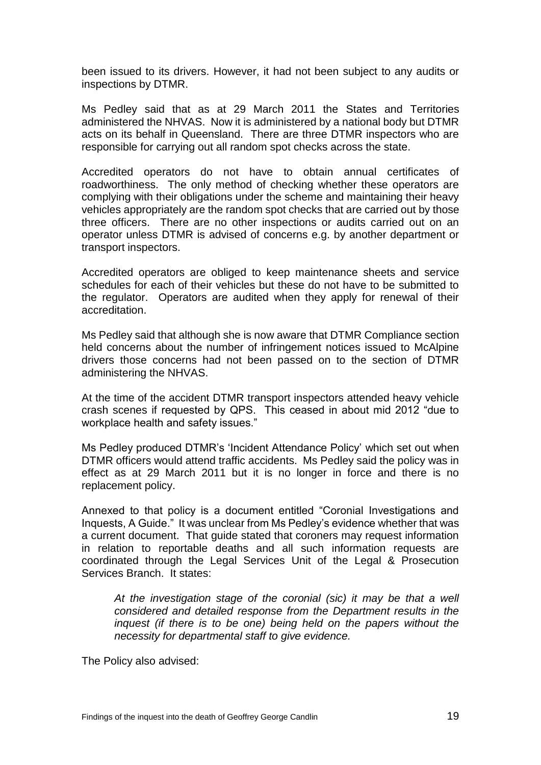been issued to its drivers. However, it had not been subject to any audits or inspections by DTMR.

Ms Pedley said that as at 29 March 2011 the States and Territories administered the NHVAS. Now it is administered by a national body but DTMR acts on its behalf in Queensland. There are three DTMR inspectors who are responsible for carrying out all random spot checks across the state.

Accredited operators do not have to obtain annual certificates of roadworthiness. The only method of checking whether these operators are complying with their obligations under the scheme and maintaining their heavy vehicles appropriately are the random spot checks that are carried out by those three officers. There are no other inspections or audits carried out on an operator unless DTMR is advised of concerns e.g. by another department or transport inspectors.

Accredited operators are obliged to keep maintenance sheets and service schedules for each of their vehicles but these do not have to be submitted to the regulator. Operators are audited when they apply for renewal of their accreditation.

Ms Pedley said that although she is now aware that DTMR Compliance section held concerns about the number of infringement notices issued to McAlpine drivers those concerns had not been passed on to the section of DTMR administering the NHVAS.

At the time of the accident DTMR transport inspectors attended heavy vehicle crash scenes if requested by QPS. This ceased in about mid 2012 "due to workplace health and safety issues."

Ms Pedley produced DTMR's 'Incident Attendance Policy' which set out when DTMR officers would attend traffic accidents. Ms Pedley said the policy was in effect as at 29 March 2011 but it is no longer in force and there is no replacement policy.

Annexed to that policy is a document entitled "Coronial Investigations and Inquests, A Guide." It was unclear from Ms Pedley's evidence whether that was a current document. That guide stated that coroners may request information in relation to reportable deaths and all such information requests are coordinated through the Legal Services Unit of the Legal & Prosecution Services Branch. It states:

*At the investigation stage of the coronial (sic) it may be that a well considered and detailed response from the Department results in the inquest (if there is to be one) being held on the papers without the necessity for departmental staff to give evidence.* 

The Policy also advised: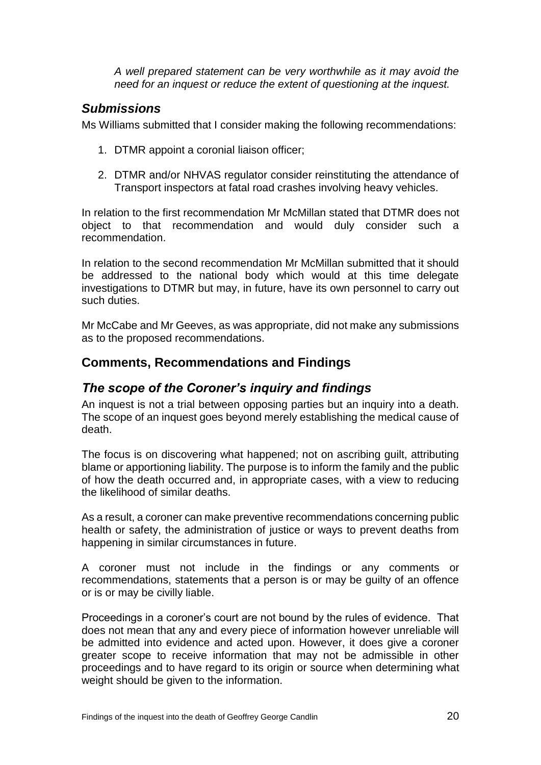*A well prepared statement can be very worthwhile as it may avoid the need for an inquest or reduce the extent of questioning at the inquest.*

### *Submissions*

Ms Williams submitted that I consider making the following recommendations:

- 1. DTMR appoint a coronial liaison officer;
- 2. DTMR and/or NHVAS regulator consider reinstituting the attendance of Transport inspectors at fatal road crashes involving heavy vehicles.

In relation to the first recommendation Mr McMillan stated that DTMR does not object to that recommendation and would duly consider such a recommendation.

In relation to the second recommendation Mr McMillan submitted that it should be addressed to the national body which would at this time delegate investigations to DTMR but may, in future, have its own personnel to carry out such duties.

Mr McCabe and Mr Geeves, as was appropriate, did not make any submissions as to the proposed recommendations.

#### **Comments, Recommendations and Findings**

#### *The scope of the Coroner's inquiry and findings*

An inquest is not a trial between opposing parties but an inquiry into a death. The scope of an inquest goes beyond merely establishing the medical cause of death.

The focus is on discovering what happened; not on ascribing guilt, attributing blame or apportioning liability. The purpose is to inform the family and the public of how the death occurred and, in appropriate cases, with a view to reducing the likelihood of similar deaths.

As a result, a coroner can make preventive recommendations concerning public health or safety, the administration of justice or ways to prevent deaths from happening in similar circumstances in future.

A coroner must not include in the findings or any comments or recommendations, statements that a person is or may be guilty of an offence or is or may be civilly liable.

Proceedings in a coroner's court are not bound by the rules of evidence. That does not mean that any and every piece of information however unreliable will be admitted into evidence and acted upon. However, it does give a coroner greater scope to receive information that may not be admissible in other proceedings and to have regard to its origin or source when determining what weight should be given to the information.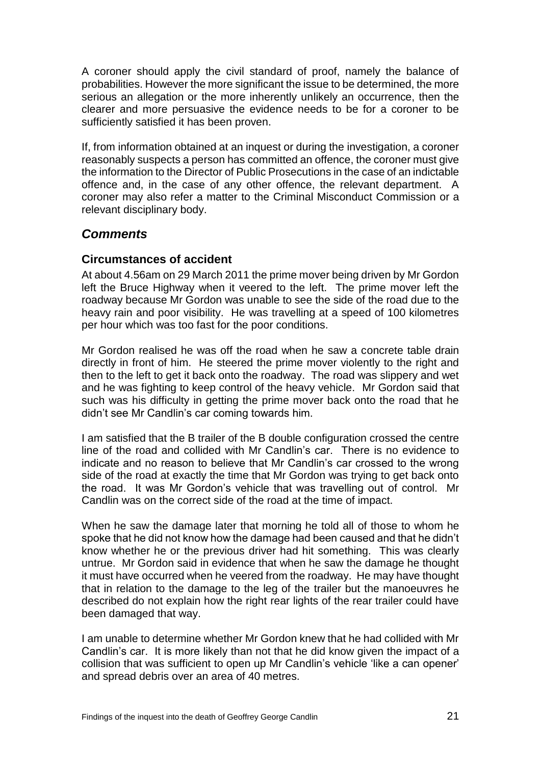A coroner should apply the civil standard of proof, namely the balance of probabilities. However the more significant the issue to be determined, the more serious an allegation or the more inherently unlikely an occurrence, then the clearer and more persuasive the evidence needs to be for a coroner to be sufficiently satisfied it has been proven.

If, from information obtained at an inquest or during the investigation, a coroner reasonably suspects a person has committed an offence, the coroner must give the information to the Director of Public Prosecutions in the case of an indictable offence and, in the case of any other offence, the relevant department. A coroner may also refer a matter to the Criminal Misconduct Commission or a relevant disciplinary body.

#### *Comments*

#### **Circumstances of accident**

At about 4.56am on 29 March 2011 the prime mover being driven by Mr Gordon left the Bruce Highway when it veered to the left. The prime mover left the roadway because Mr Gordon was unable to see the side of the road due to the heavy rain and poor visibility. He was travelling at a speed of 100 kilometres per hour which was too fast for the poor conditions.

Mr Gordon realised he was off the road when he saw a concrete table drain directly in front of him. He steered the prime mover violently to the right and then to the left to get it back onto the roadway. The road was slippery and wet and he was fighting to keep control of the heavy vehicle. Mr Gordon said that such was his difficulty in getting the prime mover back onto the road that he didn't see Mr Candlin's car coming towards him.

I am satisfied that the B trailer of the B double configuration crossed the centre line of the road and collided with Mr Candlin's car. There is no evidence to indicate and no reason to believe that Mr Candlin's car crossed to the wrong side of the road at exactly the time that Mr Gordon was trying to get back onto the road. It was Mr Gordon's vehicle that was travelling out of control. Mr Candlin was on the correct side of the road at the time of impact.

When he saw the damage later that morning he told all of those to whom he spoke that he did not know how the damage had been caused and that he didn't know whether he or the previous driver had hit something. This was clearly untrue. Mr Gordon said in evidence that when he saw the damage he thought it must have occurred when he veered from the roadway. He may have thought that in relation to the damage to the leg of the trailer but the manoeuvres he described do not explain how the right rear lights of the rear trailer could have been damaged that way.

I am unable to determine whether Mr Gordon knew that he had collided with Mr Candlin's car. It is more likely than not that he did know given the impact of a collision that was sufficient to open up Mr Candlin's vehicle 'like a can opener' and spread debris over an area of 40 metres.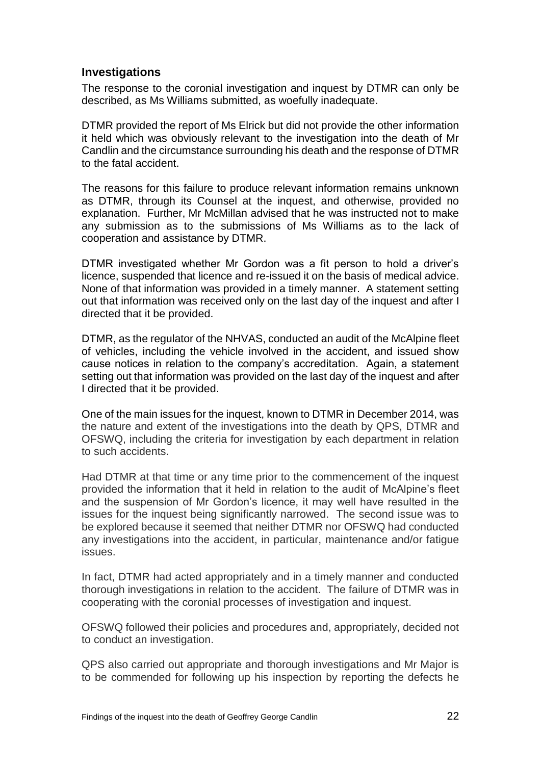#### **Investigations**

The response to the coronial investigation and inquest by DTMR can only be described, as Ms Williams submitted, as woefully inadequate.

DTMR provided the report of Ms Elrick but did not provide the other information it held which was obviously relevant to the investigation into the death of Mr Candlin and the circumstance surrounding his death and the response of DTMR to the fatal accident.

The reasons for this failure to produce relevant information remains unknown as DTMR, through its Counsel at the inquest, and otherwise, provided no explanation. Further, Mr McMillan advised that he was instructed not to make any submission as to the submissions of Ms Williams as to the lack of cooperation and assistance by DTMR.

DTMR investigated whether Mr Gordon was a fit person to hold a driver's licence, suspended that licence and re-issued it on the basis of medical advice. None of that information was provided in a timely manner. A statement setting out that information was received only on the last day of the inquest and after I directed that it be provided.

DTMR, as the regulator of the NHVAS, conducted an audit of the McAlpine fleet of vehicles, including the vehicle involved in the accident, and issued show cause notices in relation to the company's accreditation. Again, a statement setting out that information was provided on the last day of the inquest and after I directed that it be provided.

One of the main issues for the inquest, known to DTMR in December 2014, was the nature and extent of the investigations into the death by QPS, DTMR and OFSWQ, including the criteria for investigation by each department in relation to such accidents.

Had DTMR at that time or any time prior to the commencement of the inquest provided the information that it held in relation to the audit of McAlpine's fleet and the suspension of Mr Gordon's licence, it may well have resulted in the issues for the inquest being significantly narrowed. The second issue was to be explored because it seemed that neither DTMR nor OFSWQ had conducted any investigations into the accident, in particular, maintenance and/or fatigue issues.

In fact, DTMR had acted appropriately and in a timely manner and conducted thorough investigations in relation to the accident. The failure of DTMR was in cooperating with the coronial processes of investigation and inquest.

OFSWQ followed their policies and procedures and, appropriately, decided not to conduct an investigation.

QPS also carried out appropriate and thorough investigations and Mr Major is to be commended for following up his inspection by reporting the defects he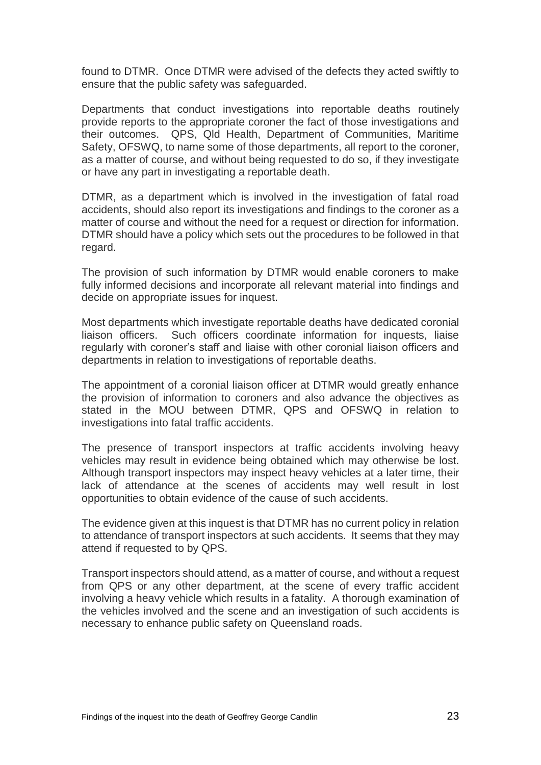found to DTMR. Once DTMR were advised of the defects they acted swiftly to ensure that the public safety was safeguarded.

Departments that conduct investigations into reportable deaths routinely provide reports to the appropriate coroner the fact of those investigations and their outcomes. QPS, Qld Health, Department of Communities, Maritime Safety, OFSWQ, to name some of those departments, all report to the coroner, as a matter of course, and without being requested to do so, if they investigate or have any part in investigating a reportable death.

DTMR, as a department which is involved in the investigation of fatal road accidents, should also report its investigations and findings to the coroner as a matter of course and without the need for a request or direction for information. DTMR should have a policy which sets out the procedures to be followed in that regard.

The provision of such information by DTMR would enable coroners to make fully informed decisions and incorporate all relevant material into findings and decide on appropriate issues for inquest.

Most departments which investigate reportable deaths have dedicated coronial liaison officers. Such officers coordinate information for inquests, liaise regularly with coroner's staff and liaise with other coronial liaison officers and departments in relation to investigations of reportable deaths.

The appointment of a coronial liaison officer at DTMR would greatly enhance the provision of information to coroners and also advance the objectives as stated in the MOU between DTMR, QPS and OFSWQ in relation to investigations into fatal traffic accidents.

The presence of transport inspectors at traffic accidents involving heavy vehicles may result in evidence being obtained which may otherwise be lost. Although transport inspectors may inspect heavy vehicles at a later time, their lack of attendance at the scenes of accidents may well result in lost opportunities to obtain evidence of the cause of such accidents.

The evidence given at this inquest is that DTMR has no current policy in relation to attendance of transport inspectors at such accidents. It seems that they may attend if requested to by QPS.

Transport inspectors should attend, as a matter of course, and without a request from QPS or any other department, at the scene of every traffic accident involving a heavy vehicle which results in a fatality. A thorough examination of the vehicles involved and the scene and an investigation of such accidents is necessary to enhance public safety on Queensland roads.